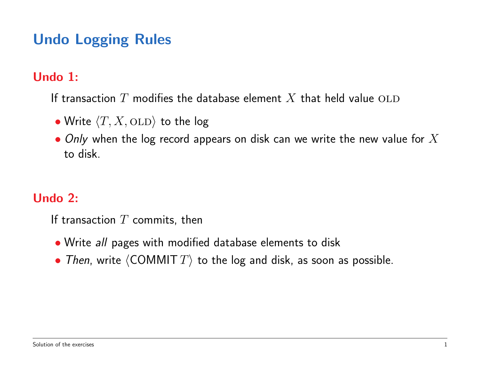# Undo Logging Rules

#### Undo 1:

If transaction  $T$  modifies the database element  $X$  that held value OLD

- Write  $\langle T, X, \text{OLD} \rangle$  to the log
- Only when the log record appears on disk can we write the new value for  $X$ to disk.

#### Undo 2:

If transaction  $T$  commits, then

- Write all pages with modified database elements to disk
- Then, write  $\langle \text{COMMIT } T \rangle$  to the log and disk, as soon as possible.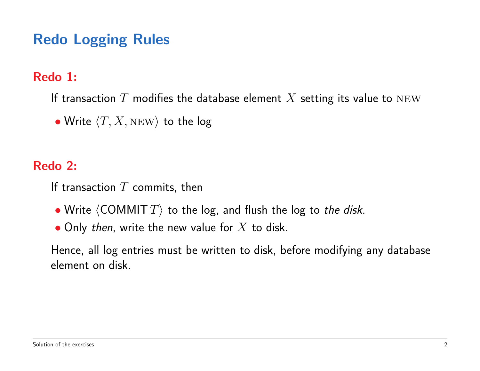# Redo Logging Rules

#### Redo 1:

If transaction  $T$  modifies the database element  $X$  setting its value to NEW

• Write  $\langle T, X, \textsc{new} \rangle$  to the log

#### Redo 2:

If transaction  $T$  commits, then

- Write  $\langle$  COMMIT  $T\rangle$  to the log, and flush the log to the disk.
- Only then, write the new value for  $X$  to disk.

Hence, all log entries must be written to disk, before modifying any database element on disk.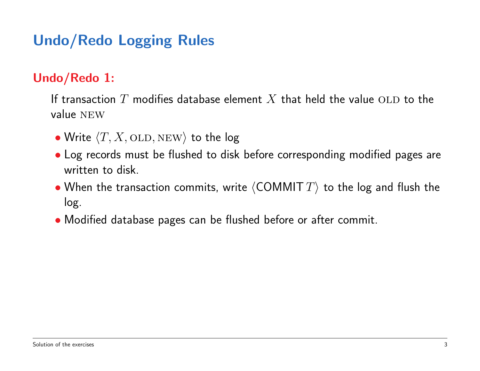# Undo/Redo Logging Rules

#### Undo/Redo 1:

If transaction  $T$  modifies database element  $X$  that held the value OLD to the value NEW

- Write  $\langle T, X, \text{OLD}, \text{NEW} \rangle$  to the log
- Log records must be flushed to disk before corresponding modified pages are written to disk
- When the transaction commits, write  $\langle$  COMMIT  $T\rangle$  to the log and flush the log.
- Modified database pages can be flushed before or after commit.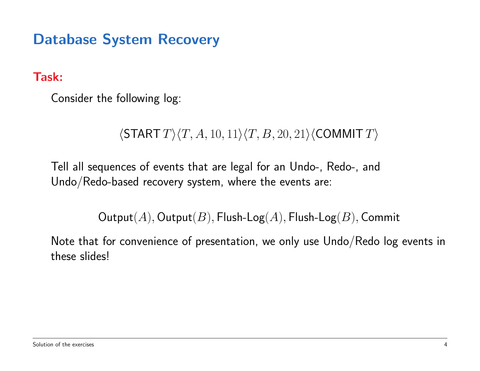Task:

Consider the following log:

 $\langle$ START  $T \rangle$  $\langle T, A, 10, 11 \rangle$  $\langle T, B, 20, 21 \rangle$  $\langle$ COMMIT  $T \rangle$ 

Tell all sequences of events that are legal for an Undo-, Redo-, and Undo/Redo-based recovery system, where the events are:

 $Output(A), Output(B), \text{Flush-Log}(A), \text{Flush-Log}(B), \text{Commit}$ 

Note that for convenience of presentation, we only use Undo/Redo log events in these slides!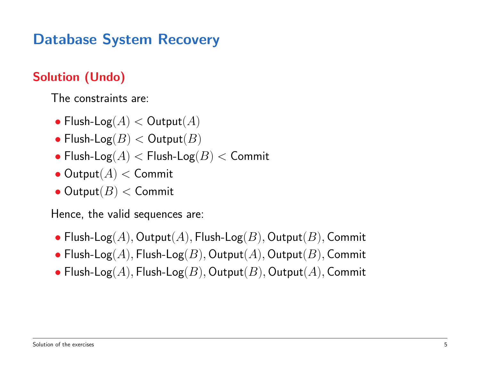#### Solution (Undo)

The constraints are:

- Flush-Log $(A) <$  Output $(A)$
- Flush-Log $(B) <$  Output $(B)$
- Flush-Log $(A)$   $<$  Flush-Log $(B)$   $<$  Commit
- $\bullet$  Output $(A) <$  Commit
- $\bullet$  Output $(B)$  < Commit

Hence, the valid sequences are:

- Flush-Log(A), Output(A), Flush-Log(B), Output(B), Commit
- Flush-Log( $A$ ), Flush-Log( $B$ ), Output( $A$ ), Output( $B$ ), Commit
- Flush-Log(A), Flush-Log(B), Output(B), Output(A), Commit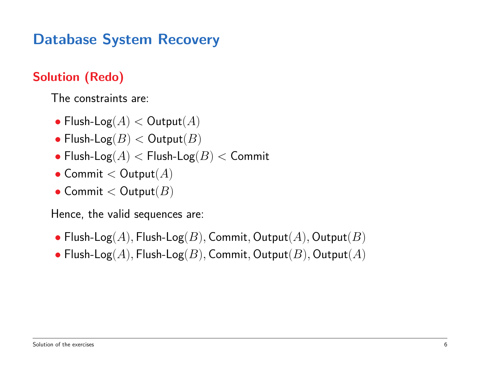#### Solution (Redo)

The constraints are:

- Flush-Log $(A) <$  Output $(A)$
- Flush-Log $(B) <$  Output $(B)$
- Flush-Log $(A)$  < Flush-Log $(B)$  < Commit
- Commit  $<$  Output $(A)$
- Commit  $<$  Output $(B)$

Hence, the valid sequences are:

- Flush-Log(A), Flush-Log(B), Commit, Output(A), Output(B)
- Flush-Log(A), Flush-Log(B), Commit, Output(B), Output(A)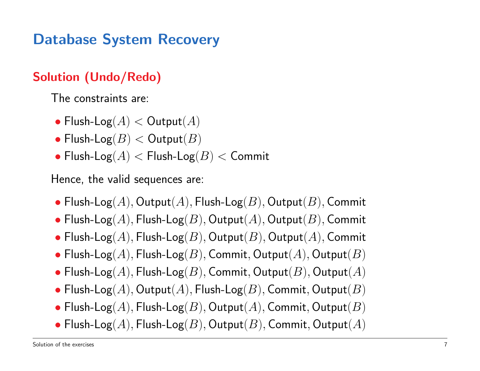#### Solution (Undo/Redo)

The constraints are:

- Flush-Log $(A) <$  Output $(A)$
- Flush-Log $(B)$  < Output $(B)$
- Flush-Log $(A)$  < Flush-Log $(B)$  < Commit

Hence, the valid sequences are:

- Flush-Log(A), Output(A), Flush-Log(B), Output(B), Commit
- Flush-Log( $A$ ), Flush-Log( $B$ ), Output( $A$ ), Output( $B$ ), Commit
- Flush-Log(A), Flush-Log(B), Output(B), Output(A), Commit
- Flush-Log(A), Flush-Log(B), Commit, Output(A), Output(B)
- Flush-Log(A), Flush-Log(B), Commit, Output(B), Output(A)
- Flush-Log( $A$ ), Output( $A$ ), Flush-Log( $B$ ), Commit, Output( $B$ )
- Flush-Log(A), Flush-Log(B), Output(A), Commit, Output(B)
- Flush-Log(A), Flush-Log(B), Output(B), Commit, Output(A)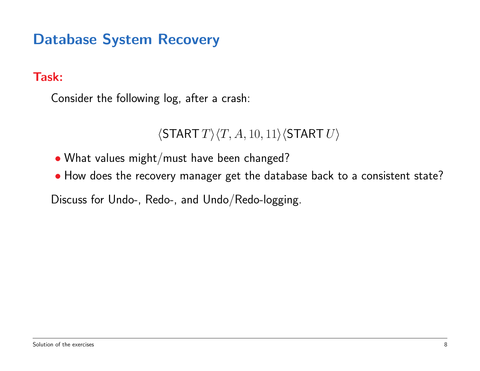Task:

Consider the following log, after a crash:

 $\langle$ START  $T \rangle \langle T, A, 10, 11 \rangle \langle$ START  $U \rangle$ 

• What values might/must have been changed?

• How does the recovery manager get the database back to a consistent state?

Discuss for Undo-, Redo-, and Undo/Redo-logging.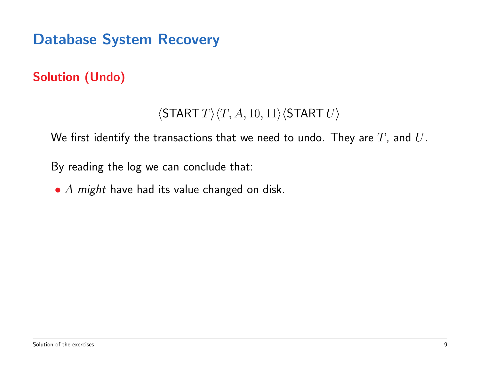### Solution (Undo)

### $\langle$ START  $T\rangle$  $\langle T, A, 10, 11\rangle$  $\langle$ START  $U\rangle$

We first identify the transactions that we need to undo. They are  $T$ , and  $U$ .

By reading the log we can conclude that:

•  $A$  might have had its value changed on disk.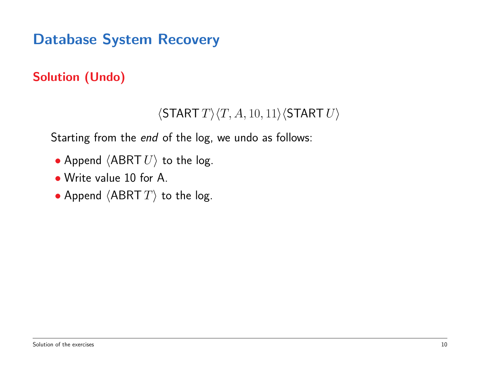### Solution (Undo)

### $\langle$ START  $T \rangle \langle T, A, 10, 11 \rangle \langle$ START  $U \rangle$

Starting from the *end* of the log, we undo as follows:

- Append  $\langle ABRT U \rangle$  to the log.
- Write value 10 for A.
- Append  $\langle ABRT \ T \rangle$  to the log.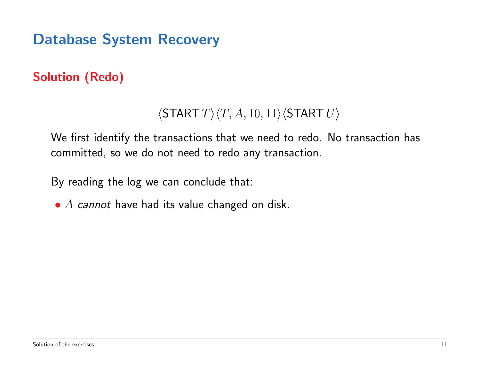### Solution (Redo)

### $\langle$ START  $T \rangle \langle T, A, 10, 11 \rangle \langle$ START  $U \rangle$

We first identify the transactions that we need to redo. No transaction has committed, so we do not need to redo any transaction.

By reading the log we can conclude that:

 $\bullet$  A cannot have had its value changed on disk.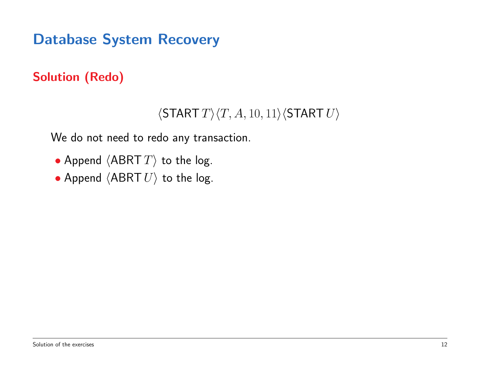### Solution (Redo)

#### $\langle$ START  $T \rangle \langle T, A, 10, 11 \rangle \langle$ START  $U \rangle$

We do not need to redo any transaction.

- Append  $\langle ABRT \ T \rangle$  to the log.
- Append  $\langle ABRT U \rangle$  to the log.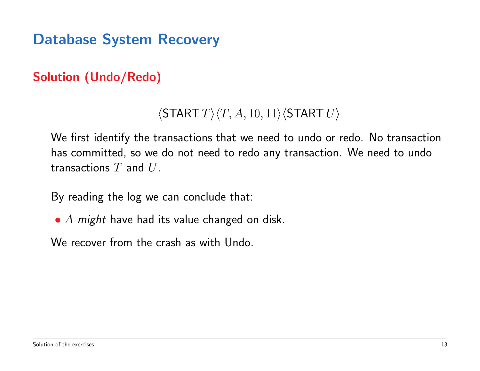### Solution (Undo/Redo)

### $\langle$ START  $T \rangle$  $\langle T, A, 10, 11 \rangle$  $\langle$ START  $U \rangle$

We first identify the transactions that we need to undo or redo. No transaction has committed, so we do not need to redo any transaction. We need to undo transactions  $T$  and  $U$ .

By reading the log we can conclude that:

•  $A$  might have had its value changed on disk.

We recover from the crash as with Undo.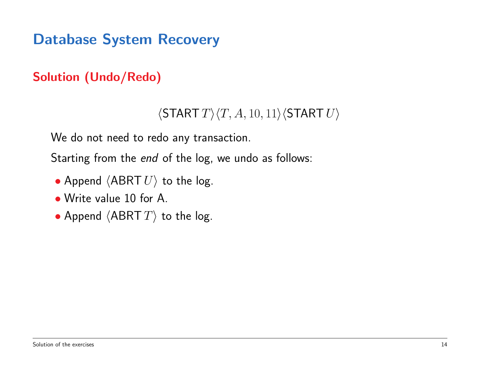### Solution (Undo/Redo)

#### $\langle$ START  $T\rangle$  $\langle T, A, 10, 11\rangle$  $\langle$ START  $U\rangle$

We do not need to redo any transaction.

Starting from the *end* of the log, we undo as follows:

- Append  $\langle ABRT U \rangle$  to the log.
- Write value 10 for A.
- Append  $\langle ABRT \ T \rangle$  to the log.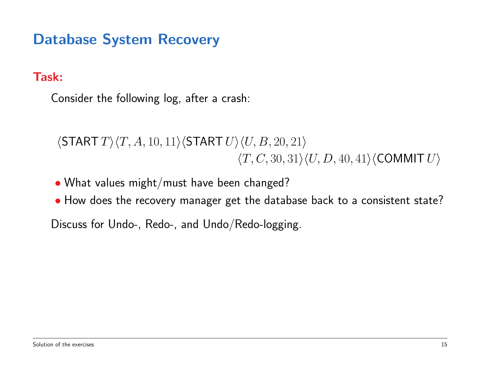#### Task:

Consider the following log, after a crash:

 $\langle$ START  $T\rangle\langle T, A, 10, 11\rangle\langle$ START  $U\rangle\langle U, B, 20, 21\rangle$  $\langle T, C, 30, 31\rangle \langle U, D, 40, 41\rangle \langle \text{COMMIT } U \rangle$ 

- What values might/must have been changed?
- How does the recovery manager get the database back to a consistent state?

Discuss for Undo-, Redo-, and Undo/Redo-logging.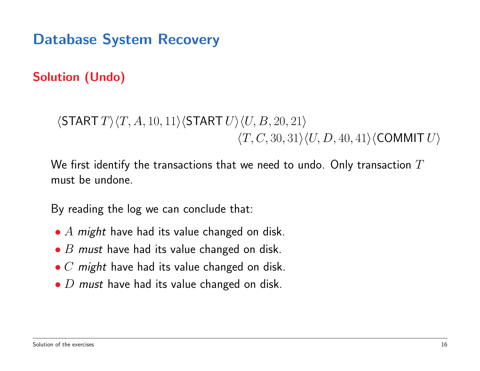Solution (Undo)

 $\langle$ START  $T\rangle\langle T, A, 10, 11\rangle\langle$ START  $U\rangle\langle U, B, 20, 21\rangle$  $\langle T, C, 30, 31\rangle \langle U, D, 40, 41\rangle \langle \text{COMMIT } U \rangle$ 

We first identify the transactions that we need to undo. Only transaction  $T$ must be undone.

By reading the log we can conclude that:

- $A$  might have had its value changed on disk.
- $\bullet$  B must have had its value changed on disk.
- $\bullet$  C might have had its value changed on disk.
- $\bullet$  D must have had its value changed on disk.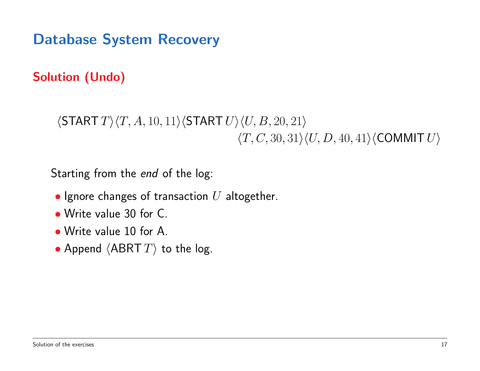Solution (Undo)

 $\langle$ START  $T\rangle\langle T, A, 10, 11\rangle\langle$ START  $U\rangle\langle U, B, 20, 21\rangle$  $\langle T, C, 30, 31\rangle \langle U, D, 40, 41\rangle \langle \text{COMMIT } U \rangle$ 

Starting from the *end* of the log:

- Ignore changes of transaction  $U$  altogether.
- Write value 30 for C.
- Write value 10 for A.
- Append  $\langle ABRT \, T \rangle$  to the log.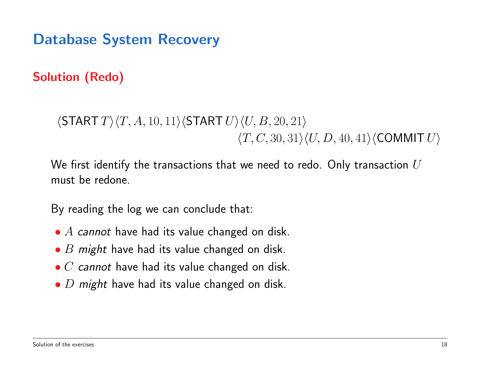Solution (Redo)

 $\langle$ START  $T\rangle\langle T, A, 10, 11\rangle\langle$ START  $U\rangle\langle U, B, 20, 21\rangle$  $\langle T, C, 30, 31\rangle \langle U, D, 40, 41\rangle \langle \text{COMMIT } U \rangle$ 

We first identify the transactions that we need to redo. Only transaction  $U$ must be redone.

By reading the log we can conclude that:

- $\bullet$  A cannot have had its value changed on disk.
- $\bullet$  *B might* have had its value changed on disk.
- $\bullet$   $C$  cannot have had its value changed on disk.
- $\bullet$  D might have had its value changed on disk.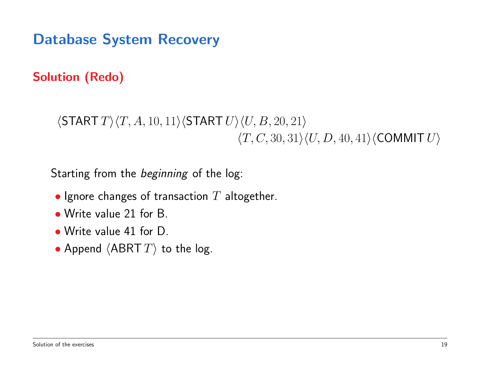Solution (Redo)

```
\langleSTART T\rangle\langle T, A, 10, 11\rangle\langleSTART U\rangle\langle U, B, 20, 21\rangle\langle T, C, 30, 31\rangle \langle U, D, 40, 41\rangle \langle \text{COMMIT } U \rangle
```
Starting from the *beginning* of the log:

- Ignore changes of transaction  $T$  altogether.
- Write value 21 for B.
- Write value 41 for D.
- Append  $\langle ABRT \, T \rangle$  to the log.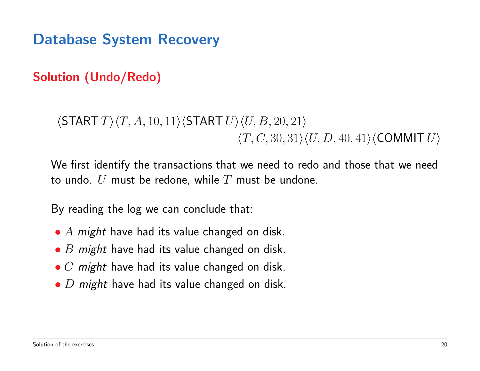Solution (Undo/Redo)

 $\langle$ START  $T\rangle\langle T, A, 10, 11\rangle\langle$ START  $U\rangle\langle U, B, 20, 21\rangle$  $\langle T, C, 30, 31\rangle \langle U, D, 40, 41\rangle \langle \text{COMMIT } U \rangle$ 

We first identify the transactions that we need to redo and those that we need to undo.  $U$  must be redone, while  $T$  must be undone.

By reading the log we can conclude that:

- $A$  might have had its value changed on disk.
- $\bullet$  *B might* have had its value changed on disk.
- $\bullet$  C might have had its value changed on disk.
- $\bullet$  D might have had its value changed on disk.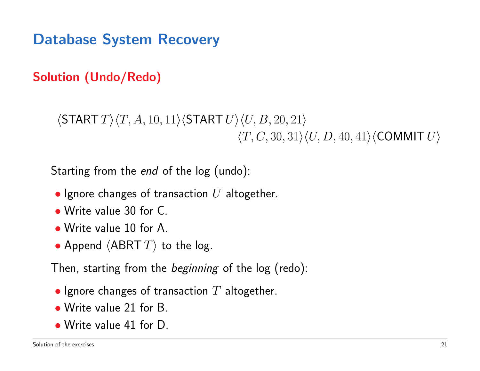Solution (Undo/Redo)

 $\langle$ START  $T\rangle\langle T, A, 10, 11\rangle\langle$ START  $U\rangle\langle U, B, 20, 21\rangle$  $\langle T, C, 30, 31\rangle \langle U, D, 40, 41\rangle \langle \text{COMMIT } U \rangle$ 

Starting from the *end* of the log (undo):

- Ignore changes of transaction  $U$  altogether.
- Write value 30 for C.
- Write value 10 for A.
- Append  $\langle ABRT \ T\rangle$  to the log.

Then, starting from the *beginning* of the log (redo):

- Ignore changes of transaction  $T$  altogether.
- Write value 21 for B.
- Write value 41 for D.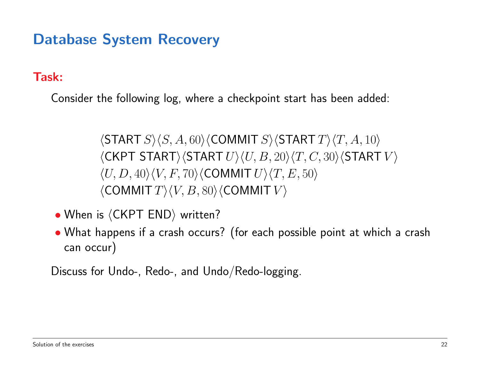Task:

Consider the following log, where a checkpoint start has been added:

 $\langle$ START  $S\rangle$  $\langle S, A, 60\rangle$  $\langle$ COMMIT  $S\rangle$  $\langle$ START  $T\rangle$  $\langle T, A, 10\rangle$  $\langle$ CKPT START $\rangle$  $\langle$ START  $U\rangle$  $\langle U, B, 20\rangle$  $\langle T, C, 30\rangle$  $\langle$ START  $V\rangle$  $\langle U, D, 40 \rangle \langle V, F, 70 \rangle \langle \text{COMMIT } U \rangle \langle T, E, 50 \rangle$  $\langle$  COMMIT  $T \rangle$   $\langle V, B,$  80 $\rangle$   $\langle$  COMMIT  $V \rangle$ 

- When is  $\langle$  CKPT END $\rangle$  written?
- What happens if a crash occurs? (for each possible point at which a crash can occur)

Discuss for Undo-, Redo-, and Undo/Redo-logging.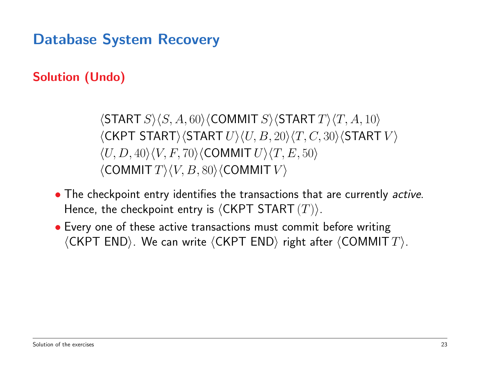### Solution (Undo)

 $\langle$ START  $S\rangle$  $\langle S, A, 60\rangle$  $\langle$ COMMIT  $S\rangle$  $\langle$ START  $T\rangle$  $\langle T, A, 10\rangle$  $\langle$ CKPT START $\rangle$  $\langle$ START  $U\rangle$  $\langle U, B, 20\rangle$  $\langle T, C, 30\rangle$  $\langle$ START  $V\rangle$  $\langle U, D, 40 \rangle \langle V, F, 70 \rangle \langle \text{COMMIT } U \rangle \langle T, E, 50 \rangle$  $\langle$  COMMIT  $T \rangle$   $\langle V, B,$  80 $\rangle$   $\langle$  COMMIT  $V \rangle$ 

- The checkpoint entry identifies the transactions that are currently *active*. Hence, the checkpoint entry is  $\langle$ CKPT START  $(T)\rangle$ .
- Every one of these active transactions must commit before writing  $\langle$ CKPT END $\rangle$ . We can write  $\langle$ CKPT END $\rangle$  right after  $\langle$ COMMIT  $T\rangle$ .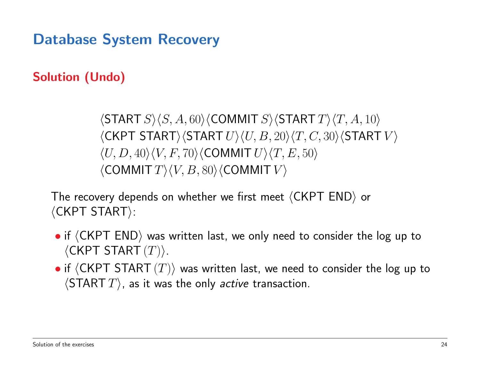### Solution (Undo)

 $\langle$ START  $S\rangle$  $\langle S, A, 60\rangle$  $\langle$ COMMIT  $S\rangle$  $\langle$ START  $T\rangle$  $\langle T, A, 10\rangle$  $\langle$ CKPT START $\rangle$  $\langle$ START  $U\rangle$  $\langle U, B, 20\rangle$  $\langle T, C, 30\rangle$  $\langle$ START  $V\rangle$  $\langle U, D, 40 \rangle \langle V, F, 70 \rangle \langle \text{COMMIT } U \rangle \langle T, E, 50 \rangle$  $\langle$  COMMIT  $T \rangle$   $\langle V, B,$  80 $\rangle$   $\langle$  COMMIT  $V \rangle$ 

The recovery depends on whether we first meet  $\langle$ CKPT END $\rangle$  or  $\langle$ CKPT START $\rangle$ :

- $\bullet$  if  $\langle$  CKPT END $\rangle$  was written last, we only need to consider the log up to  $\langle$ CKPT START $(T)$ ).
- if  $\langle$  CKPT START  $(T)\rangle$  was written last, we need to consider the log up to  $\langle \textsf{START}\ T\rangle$ , as it was the only *active* transaction.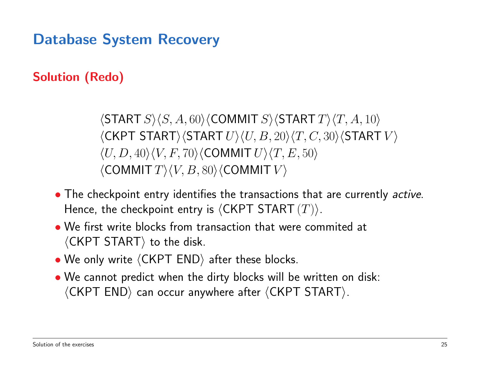### Solution (Redo)

 $\langle$ START  $S\rangle$  $\langle S, A, 60\rangle$  $\langle$ COMMIT  $S\rangle$  $\langle$ START  $T\rangle$  $\langle T, A, 10\rangle$  $\langle$ CKPT START $\rangle$  $\langle$ START  $U\rangle$  $\langle U, B, 20\rangle$  $\langle T, C, 30\rangle$  $\langle$ START  $V\rangle$  $\langle U, D, 40 \rangle \langle V, F, 70 \rangle \langle \text{COMMIT } U \rangle \langle T, E, 50 \rangle$  $\langle$  COMMIT  $T \rangle$   $\langle V, B,$  80 $\rangle$   $\langle$  COMMIT  $V \rangle$ 

- The checkpoint entry identifies the transactions that are currently *active*. Hence, the checkpoint entry is  $\langle$ CKPT START  $(T)\rangle$ .
- We first write blocks from transaction that were commited at  $\langle$  CKPT START $\rangle$  to the disk.
- We only write  $\langle$  CKPT END $\rangle$  after these blocks.
- We cannot predict when the dirty blocks will be written on disk:  $\langle$ CKPT END $\rangle$  can occur anywhere after  $\langle$ CKPT START $\rangle$ .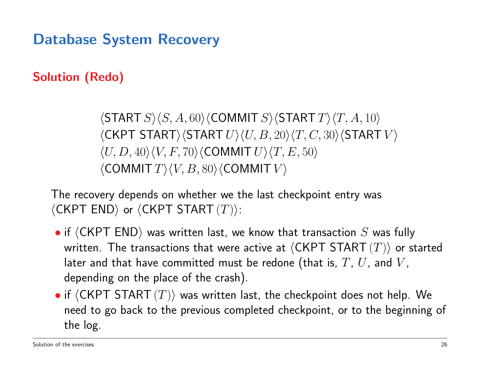### Solution (Redo)

 $\langle$ START  $S\rangle$  $\langle S, A, 60\rangle$  $\langle$ COMMIT  $S\rangle$  $\langle$ START  $T\rangle$  $\langle T, A, 10\rangle$  $\langle$ CKPT START $\rangle$  $\langle$ START  $U\rangle$  $\langle U, B, 20\rangle$  $\langle T, C, 30\rangle$  $\langle$ START  $V\rangle$  $\langle U, D, 40 \rangle \langle V, F, 70 \rangle \langle \text{COMMIT } U \rangle \langle T, E, 50 \rangle$  $\langle$  COMMIT  $T \rangle$   $\langle V, B, 80 \rangle$   $\langle$  COMMIT  $V \rangle$ 

The recovery depends on whether we the last checkpoint entry was  $\langle$ CKPT END $\rangle$  or  $\langle$ CKPT START  $(T)\rangle$ :

- if  $\langle$  CKPT END $\rangle$  was written last, we know that transaction  $S$  was fully written. The transactions that were active at  $\langle$  CKPT START  $(T)\rangle$  or started later and that have committed must be redone (that is,  $T$ ,  $U$ , and  $V$ , depending on the place of the crash).
- if  $\langle$  CKPT START  $(T)\rangle$  was written last, the checkpoint does not help. We need to go back to the previous completed checkpoint, or to the beginning of the log.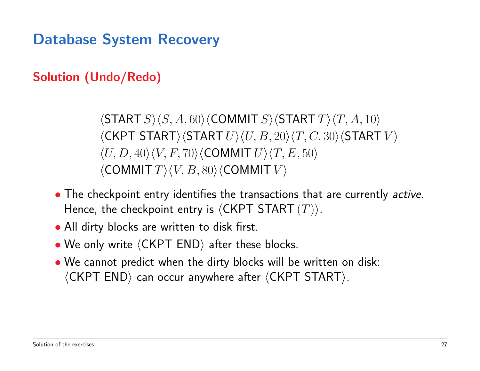#### Solution (Undo/Redo)

 $\langle$ START  $S\rangle$  $\langle S, A, 60\rangle$  $\langle$ COMMIT  $S\rangle$  $\langle$ START  $T\rangle$  $\langle T, A, 10\rangle$  $\langle$ CKPT START $\rangle$  $\langle$ START  $U\rangle$  $\langle U, B, 20\rangle$  $\langle T, C, 30\rangle$  $\langle$ START  $V\rangle$  $\langle U, D, 40 \rangle \langle V, F, 70 \rangle \langle \text{COMMIT } U \rangle \langle T, E, 50 \rangle$  $\langle$  COMMIT  $T \rangle$   $\langle V, B,$  80 $\rangle$   $\langle$  COMMIT  $V \rangle$ 

- The checkpoint entry identifies the transactions that are currently *active*. Hence, the checkpoint entry is  $\langle$ CKPT START  $(T)\rangle$ .
- All dirty blocks are written to disk first.
- We only write  $\langle CKPTEND \rangle$  after these blocks.
- We cannot predict when the dirty blocks will be written on disk:  $\langle$ CKPT END $\rangle$  can occur anywhere after  $\langle$ CKPT START $\rangle$ .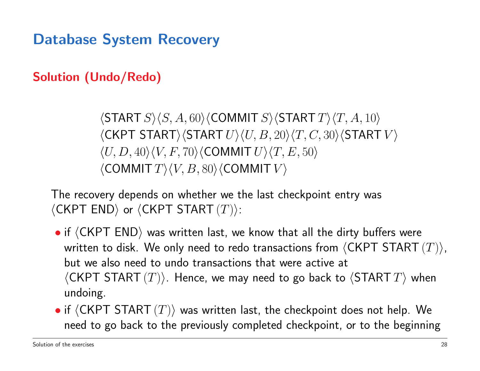#### Solution (Undo/Redo)

 $\langle$ START  $S\rangle$  $\langle S, A, 60\rangle$  $\langle$ COMMIT  $S\rangle$  $\langle$ START  $T\rangle$  $\langle T, A, 10\rangle$  $\langle$ CKPT START $\rangle$  $\langle$ START  $U\rangle$  $\langle U, B, 20\rangle$  $\langle T, C, 30\rangle$  $\langle$ START  $V\rangle$  $\langle U, D, 40 \rangle \langle V, F, 70 \rangle \langle \text{COMMIT } U \rangle \langle T, E, 50 \rangle$  $\langle$  COMMIT  $T \rangle$   $\langle V, B,$  80 $\rangle$   $\langle$  COMMIT  $V \rangle$ 

The recovery depends on whether we the last checkpoint entry was  $\langle$ CKPT END $\rangle$  or  $\langle$ CKPT START  $(T)\rangle$ :

- if  $\langle$  CKPT END $\rangle$  was written last, we know that all the dirty buffers were written to disk. We only need to redo transactions from  $\langle$  CKPT START  $(T)\rangle$ , but we also need to undo transactions that were active at  $\langle$ CKPT START  $(T)\rangle$ . Hence, we may need to go back to  $\langle$ START  $T\rangle$  when undoing.
- if  $\langle$  CKPT START  $(T)\rangle$  was written last, the checkpoint does not help. We need to go back to the previously completed checkpoint, or to the beginning